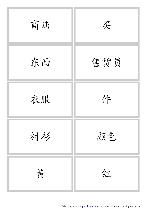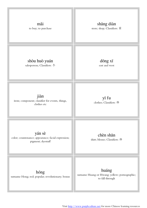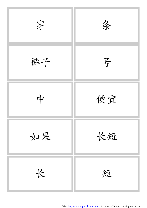

Visit http://www.purpleculture.net for more Chinese learning resources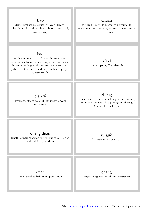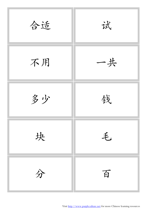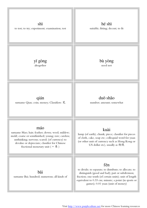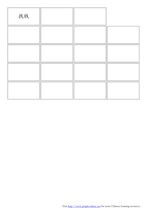| 找钱 |  |  |
|----|--|--|
|    |  |  |
|    |  |  |
|    |  |  |
|    |  |  |